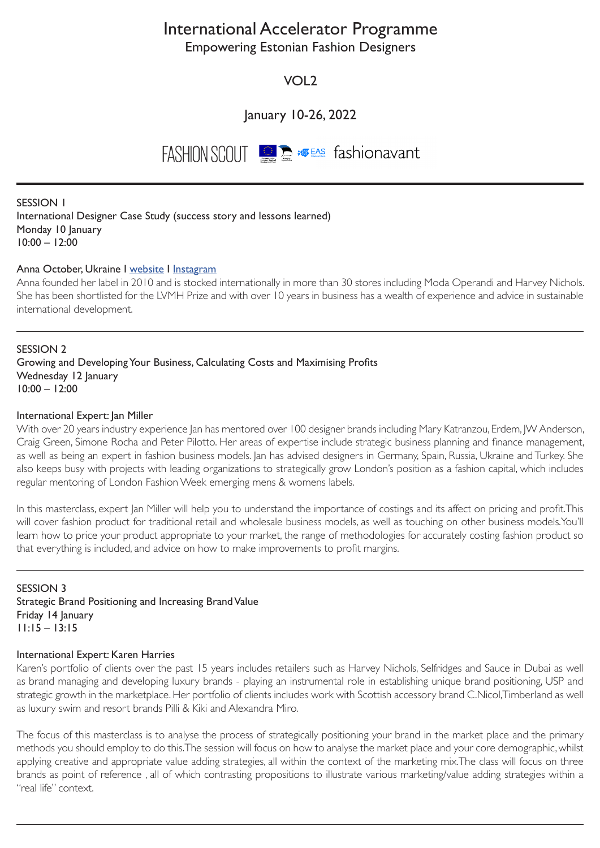# International Accelerator Programme

Empowering Estonian Fashion Designers

VOL2

January 10-26, 2022

FASHION SCOUT **DE AS Fashionavant** 

SESSION 1 International Designer Case Study (success story and lessons learned) Monday 10 January 10:00 – 12:00

## Anna October, Ukraine I [website](https://annaoctober.com) I [Instagram](https://www.instagram.com/anna_october_/)

Anna founded her label in 2010 and is stocked internationally in more than 30 stores including Moda Operandi and Harvey Nichols. She has been shortlisted for the LVMH Prize and with over 10 years in business has a wealth of experience and advice in sustainable international development.

SESSION 2 Growing and Developing Your Business, Calculating Costs and Maximising Profits Wednesday 12 January 10:00 – 12:00

## International Expert: Jan Miller

With over 20 years industry experience Jan has mentored over 100 designer brands including Mary Katranzou, Erdem, JW Anderson, Craig Green, Simone Rocha and Peter Pilotto. Her areas of expertise include strategic business planning and finance management, as well as being an expert in fashion business models. Jan has advised designers in Germany, Spain, Russia, Ukraine and Turkey. She also keeps busy with projects with leading organizations to strategically grow London's position as a fashion capital, which includes regular mentoring of London Fashion Week emerging mens & womens labels.

In this masterclass, expert Jan Miller will help you to understand the importance of costings and its affect on pricing and profit.This will cover fashion product for traditional retail and wholesale business models, as well as touching on other business models.You'll learn how to price your product appropriate to your market, the range of methodologies for accurately costing fashion product so that everything is included, and advice on how to make improvements to profit margins.

SESSION 3 Strategic Brand Positioning and Increasing Brand Value Friday 14 January 11:15 – 13:15

#### International Expert: Karen Harries

Karen's portfolio of clients over the past 15 years includes retailers such as Harvey Nichols, Selfridges and Sauce in Dubai as well as brand managing and developing luxury brands - playing an instrumental role in establishing unique brand positioning, USP and strategic growth in the marketplace. Her portfolio of clients includes work with Scottish accessory brand C.Nicol,Timberland as well as luxury swim and resort brands Pilli & Kiki and Alexandra Miro.

The focus of this masterclass is to analyse the process of strategically positioning your brand in the market place and the primary methods you should employ to do this.The session will focus on how to analyse the market place and your core demographic, whilst applying creative and appropriate value adding strategies, all within the context of the marketing mix.The class will focus on three brands as point of reference , all of which contrasting propositions to illustrate various marketing/value adding strategies within a "real life" context.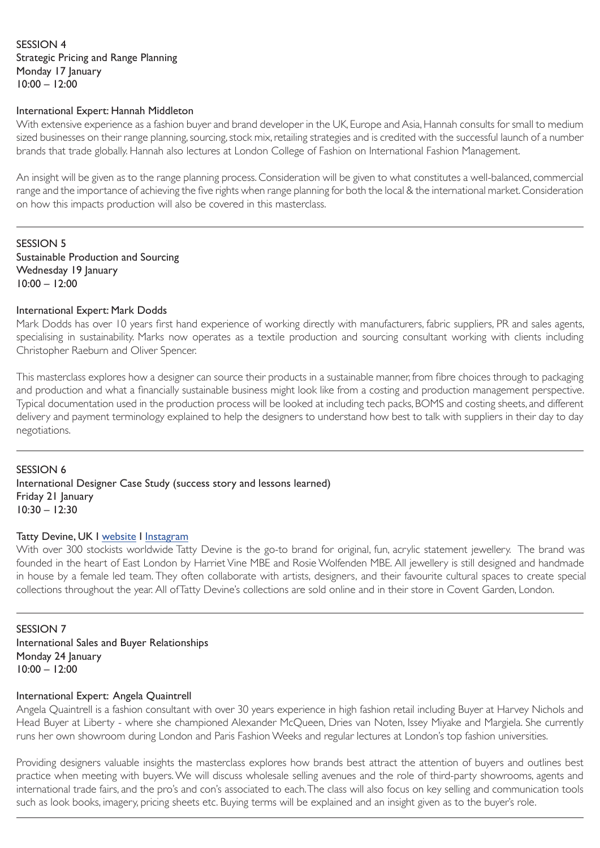## SESSION 4 Strategic Pricing and Range Planning Monday 17 January 10:00 – 12:00

#### International Expert: Hannah Middleton

With extensive experience as a fashion buyer and brand developer in the UK, Europe and Asia, Hannah consults for small to medium sized businesses on their range planning, sourcing, stock mix, retailing strategies and is credited with the successful launch of a number brands that trade globally. Hannah also lectures at London College of Fashion on International Fashion Management.

An insight will be given as to the range planning process. Consideration will be given to what constitutes a well-balanced, commercial range and the importance of achieving the five rights when range planning for both the local & the international market. Consideration on how this impacts production will also be covered in this masterclass.

SESSION 5 Sustainable Production and Sourcing Wednesday 19 January 10:00 – 12:00

## International Expert: Mark Dodds

Mark Dodds has over 10 years first hand experience of working directly with manufacturers, fabric suppliers, PR and sales agents, specialising in sustainability. Marks now operates as a textile production and sourcing consultant working with clients including Christopher Raeburn and Oliver Spencer.

This masterclass explores how a designer can source their products in a sustainable manner, from fibre choices through to packaging and production and what a financially sustainable business might look like from a costing and production management perspective. Typical documentation used in the production process will be looked at including tech packs, BOMS and costing sheets, and different delivery and payment terminology explained to help the designers to understand how best to talk with suppliers in their day to day negotiations.

SESSION 6 International Designer Case Study (success story and lessons learned) Friday 21 January 10:30 – 12:30

## Tatty Devine, UK I [website](https://www.tattydevine.com) I [Instagram](https://www.instagram.com/tattydevine/)

With over 300 stockists worldwide Tatty Devine is the go-to brand for original, fun, acrylic statement jewellery. The brand was founded in the heart of East London by Harriet Vine MBE and Rosie Wolfenden MBE. All jewellery is still designed and handmade in house by a female led team. They often collaborate with artists, designers, and their favourite cultural spaces to create special collections throughout the year. All ofTatty Devine's collections are sold online and in their store in Covent Garden, London.

SESSION 7 International Sales and Buyer Relationships Monday 24 January 10:00 – 12:00

## International Expert: Angela Quaintrell

Angela Quaintrell is a fashion consultant with over 30 years experience in high fashion retail including Buyer at Harvey Nichols and Head Buyer at Liberty - where she championed Alexander McQueen, Dries van Noten, Issey Miyake and Margiela. She currently runs her own showroom during London and Paris Fashion Weeks and regular lectures at London's top fashion universities.

Providing designers valuable insights the masterclass explores how brands best attract the attention of buyers and outlines best practice when meeting with buyers. We will discuss wholesale selling avenues and the role of third-party showrooms, agents and international trade fairs, and the pro's and con's associated to each. The class will also focus on key selling and communication tools such as look books, imagery, pricing sheets etc. Buying terms will be explained and an insight given as to the buyer's role.